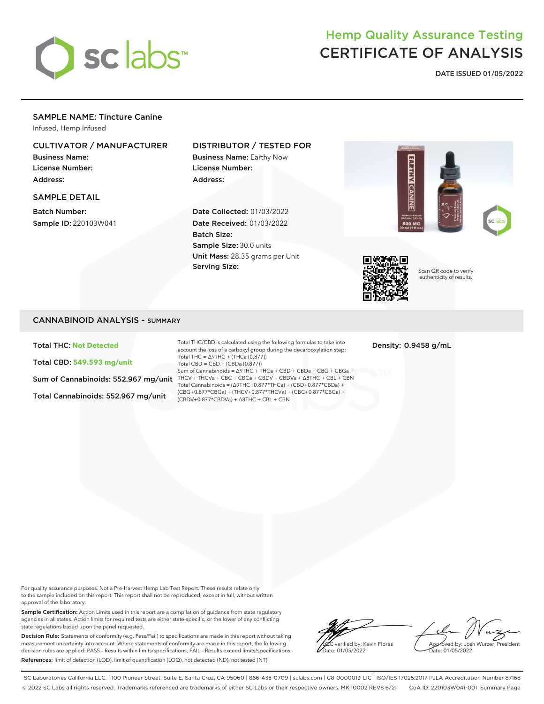

# Hemp Quality Assurance Testing CERTIFICATE OF ANALYSIS

**DATE ISSUED 01/05/2022**

# SAMPLE NAME: Tincture Canine

Infused, Hemp Infused

## CULTIVATOR / MANUFACTURER

Business Name: License Number: Address:

#### SAMPLE DETAIL

Batch Number: Sample ID: 220103W041

## DISTRIBUTOR / TESTED FOR

Business Name: Earthy Now License Number: Address:

Date Collected: 01/03/2022 Date Received: 01/03/2022 Batch Size: Sample Size: 30.0 units Unit Mass: 28.35 grams per Unit Serving Size:





Scan QR code to verify authenticity of results.

## CANNABINOID ANALYSIS - SUMMARY

Total THC: **Not Detected**

Total CBD: **549.593 mg/unit**

Total Cannabinoids: 552.967 mg/unit

Sum of Cannabinoids: 552.967 mg/unit THCV + THCVa + CBC + CBCa + CBDV + CBDVa + ∆8THC + CBL + CBN Total THC/CBD is calculated using the following formulas to take into account the loss of a carboxyl group during the decarboxylation step: Total THC = ∆9THC + (THCa (0.877)) Total CBD = CBD + (CBDa (0.877)) Sum of Cannabinoids = ∆9THC + THCa + CBD + CBDa + CBG + CBGa + Total Cannabinoids = (∆9THC+0.877\*THCa) + (CBD+0.877\*CBDa) + (CBG+0.877\*CBGa) + (THCV+0.877\*THCVa) + (CBC+0.877\*CBCa) + (CBDV+0.877\*CBDVa) + ∆8THC + CBL + CBN

Density: 0.9458 g/mL

For quality assurance purposes. Not a Pre-Harvest Hemp Lab Test Report. These results relate only to the sample included on this report. This report shall not be reproduced, except in full, without written approval of the laboratory.

Sample Certification: Action Limits used in this report are a compilation of guidance from state regulatory agencies in all states. Action limits for required tests are either state-specific, or the lower of any conflicting state regulations based upon the panel requested.

Decision Rule: Statements of conformity (e.g. Pass/Fail) to specifications are made in this report without taking measurement uncertainty into account. Where statements of conformity are made in this report, the following decision rules are applied: PASS – Results within limits/specifications, FAIL – Results exceed limits/specifications. References: limit of detection (LOD), limit of quantification (LOQ), not detected (ND), not tested (NT)

verified by: Kevin Flores ate: 01/05/2022

Approved by: Josh Wurzer, President Date: 01/05/2022

SC Laboratories California LLC. | 100 Pioneer Street, Suite E, Santa Cruz, CA 95060 | 866-435-0709 | sclabs.com | C8-0000013-LIC | ISO/IES 17025:2017 PJLA Accreditation Number 87168 © 2022 SC Labs all rights reserved. Trademarks referenced are trademarks of either SC Labs or their respective owners. MKT0002 REV8 6/21 CoA ID: 220103W041-001 Summary Page